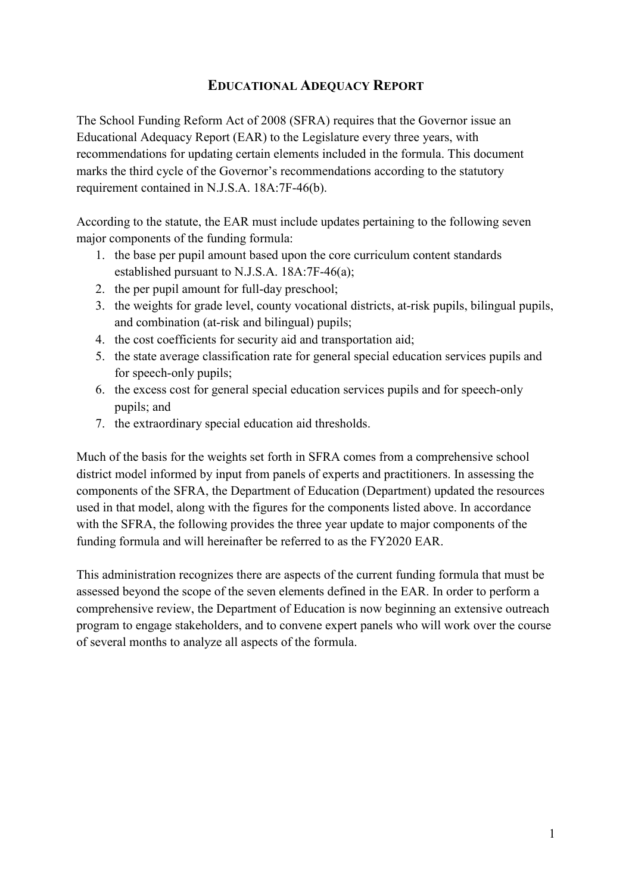# **EDUCATIONAL ADEQUACY REPORT**

The School Funding Reform Act of 2008 (SFRA) requires that the Governor issue an Educational Adequacy Report (EAR) to the Legislature every three years, with recommendations for updating certain elements included in the formula. This document marks the third cycle of the Governor's recommendations according to the statutory requirement contained in N.J.S.A. 18A:7F-46(b).

According to the statute, the EAR must include updates pertaining to the following seven major components of the funding formula:

- 1. the base per pupil amount based upon the core curriculum content standards established pursuant to N.J.S.A. 18A:7F-46(a);
- 2. the per pupil amount for full-day preschool;
- 3. the weights for grade level, county vocational districts, at-risk pupils, bilingual pupils, and combination (at-risk and bilingual) pupils;
- 4. the cost coefficients for security aid and transportation aid;
- 5. the state average classification rate for general special education services pupils and for speech-only pupils;
- 6. the excess cost for general special education services pupils and for speech-only pupils; and
- 7. the extraordinary special education aid thresholds.

Much of the basis for the weights set forth in SFRA comes from a comprehensive school district model informed by input from panels of experts and practitioners. In assessing the components of the SFRA, the Department of Education (Department) updated the resources used in that model, along with the figures for the components listed above. In accordance with the SFRA, the following provides the three year update to major components of the funding formula and will hereinafter be referred to as the FY2020 EAR.

This administration recognizes there are aspects of the current funding formula that must be assessed beyond the scope of the seven elements defined in the EAR. In order to perform a comprehensive review, the Department of Education is now beginning an extensive outreach program to engage stakeholders, and to convene expert panels who will work over the course of several months to analyze all aspects of the formula.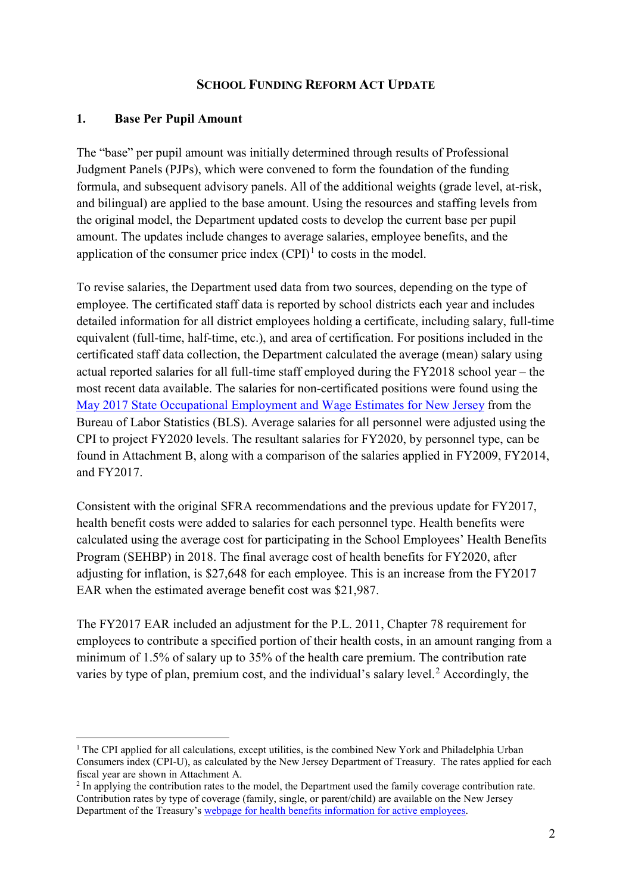#### **SCHOOL FUNDING REFORM ACT UPDATE**

#### **1. Base Per Pupil Amount**

**.** 

The "base" per pupil amount was initially determined through results of Professional Judgment Panels (PJPs), which were convened to form the foundation of the funding formula, and subsequent advisory panels. All of the additional weights (grade level, at-risk, and bilingual) are applied to the base amount. Using the resources and staffing levels from the original model, the Department updated costs to develop the current base per pupil amount. The updates include changes to average salaries, employee benefits, and the application of the consumer price index  $(CPI)^1$  $(CPI)^1$  to costs in the model.

To revise salaries, the Department used data from two sources, depending on the type of employee. The certificated staff data is reported by school districts each year and includes detailed information for all district employees holding a certificate, including salary, full-time equivalent (full-time, half-time, etc.), and area of certification. For positions included in the certificated staff data collection, the Department calculated the average (mean) salary using actual reported salaries for all full-time staff employed during the FY2018 school year – the most recent data available. The salaries for non-certificated positions were found using the [May 2017 State Occupational Employment and Wage Estimates for New Jersey](https://www.bls.gov/oes/current/oes_nj.htm#15-0000) from the Bureau of Labor Statistics (BLS). Average salaries for all personnel were adjusted using the CPI to project FY2020 levels. The resultant salaries for FY2020, by personnel type, can be found in Attachment B, along with a comparison of the salaries applied in FY2009, FY2014, and FY2017.

Consistent with the original SFRA recommendations and the previous update for FY2017, health benefit costs were added to salaries for each personnel type. Health benefits were calculated using the average cost for participating in the School Employees' Health Benefits Program (SEHBP) in 2018. The final average cost of health benefits for FY2020, after adjusting for inflation, is \$27,648 for each employee. This is an increase from the FY2017 EAR when the estimated average benefit cost was \$21,987.

The FY2017 EAR included an adjustment for the P.L. 2011, Chapter 78 requirement for employees to contribute a specified portion of their health costs, in an amount ranging from a minimum of 1.5% of salary up to 35% of the health care premium. The contribution rate varies by type of plan, premium cost, and the individual's salary level. [2](#page-1-1) Accordingly, the

<span id="page-1-0"></span> $1$  The CPI applied for all calculations, except utilities, is the combined New York and Philadelphia Urban Consumers index (CPI-U), as calculated by the New Jersey Department of Treasury. The rates applied for each fiscal year are shown in Attachment A.

<span id="page-1-1"></span><sup>&</sup>lt;sup>2</sup> In applying the contribution rates to the model, the Department used the family coverage contribution rate. Contribution rates by type of coverage (family, single, or parent/child) are available on the New Jersey Department of the Treasury's [webpage for health benefits information for active employees.](https://www.state.nj.us/treasury/pensions/hb-info-active.shtml)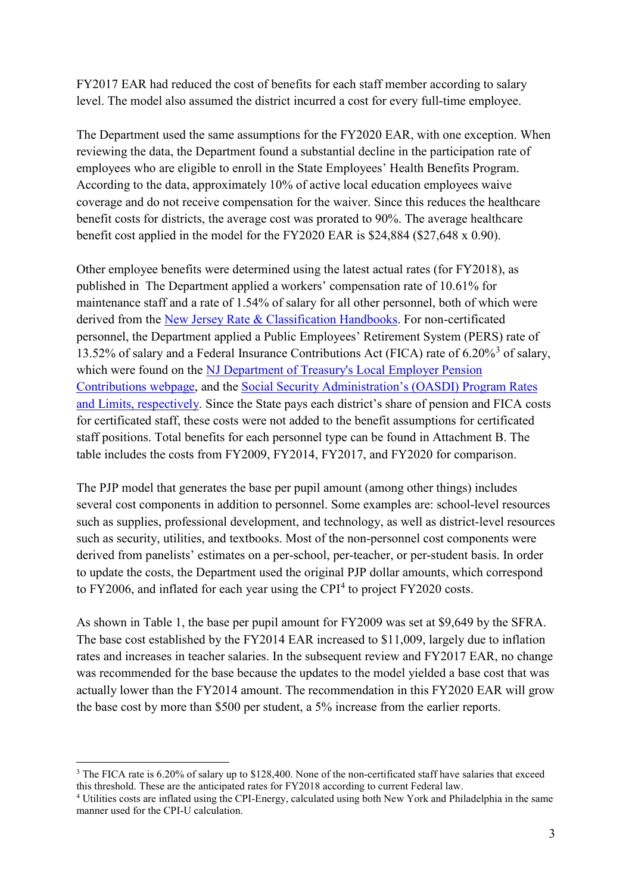FY2017 EAR had reduced the cost of benefits for each staff member according to salary level. The model also assumed the district incurred a cost for every full-time employee.

The Department used the same assumptions for the FY2020 EAR, with one exception. When reviewing the data, the Department found a substantial decline in the participation rate of employees who are eligible to enroll in the State Employees' Health Benefits Program. According to the data, approximately 10% of active local education employees waive coverage and do not receive compensation for the waiver. Since this reduces the healthcare benefit costs for districts, the average cost was prorated to 90%. The average healthcare benefit cost applied in the model for the FY2020 EAR is \$24,884 (\$27,648 x 0.90).

Other employee benefits were determined using the latest actual rates (for FY2018), as published in The Department applied a workers' compensation rate of 10.61% for maintenance staff and a rate of 1.54% of salary for all other personnel, both of which were derived from the [New Jersey Rate & Classification Handbooks.](https://www.njcrib.com/DocumentLibrary/RateAndClassificationHandbooks) For non-certificated personnel, the Department applied a Public Employees' Retirement System (PERS) rate of 1[3](#page-2-0).52% of salary and a Federal Insurance Contributions Act (FICA) rate of 6.20%<sup>3</sup> of salary, which were found on the [NJ Department of Treasury's Local Employer Pension](https://www.state.nj.us/treasury/pensions/2018-employer-billing.shtml)  [Contributions webpage,](https://www.state.nj.us/treasury/pensions/2018-employer-billing.shtml) and the [Social Security Administration's \(OASDI\) Program Rates](https://www.ssa.gov/policy/docs/quickfacts/prog_highlights/RatesLimits2018.html)  [and Limits,](https://www.ssa.gov/policy/docs/quickfacts/prog_highlights/RatesLimits2018.html) respectively. Since the State pays each district's share of pension and FICA costs for certificated staff, these costs were not added to the benefit assumptions for certificated staff positions. Total benefits for each personnel type can be found in Attachment B. The table includes the costs from FY2009, FY2014, FY2017, and FY2020 for comparison.

The PJP model that generates the base per pupil amount (among other things) includes several cost components in addition to personnel. Some examples are: school-level resources such as supplies, professional development, and technology, as well as district-level resources such as security, utilities, and textbooks. Most of the non-personnel cost components were derived from panelists' estimates on a per-school, per-teacher, or per-student basis. In order to update the costs, the Department used the original PJP dollar amounts, which correspond to FY2006, and inflated for each year using the CPI<sup>[4](#page-2-1)</sup> to project FY2020 costs.

As shown in Table 1, the base per pupil amount for FY2009 was set at \$9,649 by the SFRA. The base cost established by the FY2014 EAR increased to \$11,009, largely due to inflation rates and increases in teacher salaries. In the subsequent review and FY2017 EAR, no change was recommended for the base because the updates to the model yielded a base cost that was actually lower than the FY2014 amount. The recommendation in this FY2020 EAR will grow the base cost by more than \$500 per student, a 5% increase from the earlier reports.

 $\overline{a}$ 

<span id="page-2-0"></span><sup>&</sup>lt;sup>3</sup> The FICA rate is 6.20% of salary up to \$128,400. None of the non-certificated staff have salaries that exceed this threshold. These are the anticipated rates for FY2018 according to current Federal law.

<span id="page-2-1"></span><sup>&</sup>lt;sup>4</sup> Utilities costs are inflated using the CPI-Energy, calculated using both New York and Philadelphia in the same manner used for the CPI-U calculation.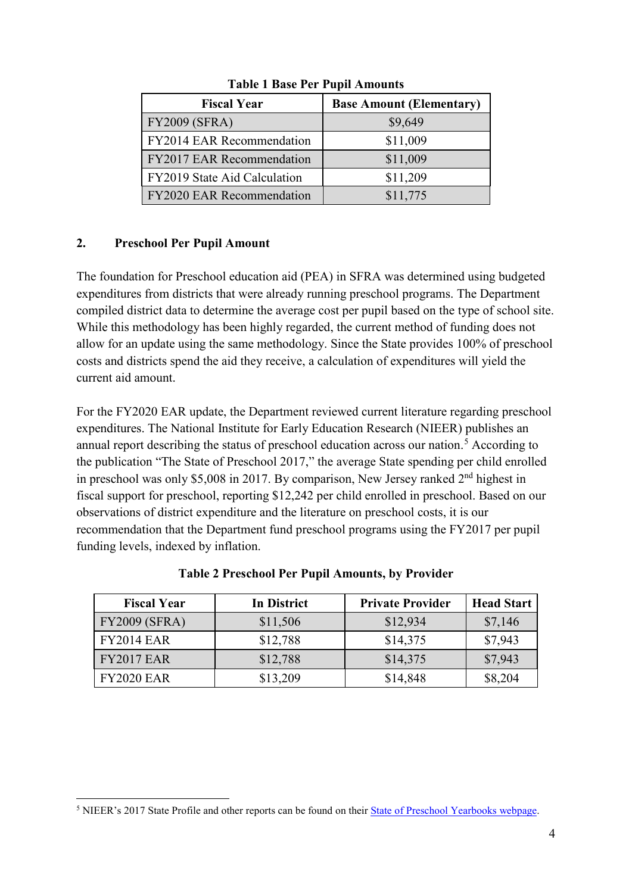| <b>Fiscal Year</b>               | <b>Base Amount (Elementary)</b> |
|----------------------------------|---------------------------------|
| <b>FY2009 (SFRA)</b>             | \$9,649                         |
| FY2014 EAR Recommendation        | \$11,009                        |
| <b>FY2017 EAR Recommendation</b> | \$11,009                        |
| FY2019 State Aid Calculation     | \$11,209                        |
| <b>FY2020 EAR Recommendation</b> | \$11,775                        |

**Table 1 Base Per Pupil Amounts**

## **2. Preschool Per Pupil Amount**

 $\overline{a}$ 

The foundation for Preschool education aid (PEA) in SFRA was determined using budgeted expenditures from districts that were already running preschool programs. The Department compiled district data to determine the average cost per pupil based on the type of school site. While this methodology has been highly regarded, the current method of funding does not allow for an update using the same methodology. Since the State provides 100% of preschool costs and districts spend the aid they receive, a calculation of expenditures will yield the current aid amount.

For the FY2020 EAR update, the Department reviewed current literature regarding preschool expenditures. The National Institute for Early Education Research (NIEER) publishes an annual report describing the status of preschool education across our nation.<sup>[5](#page-3-0)</sup> According to the publication "The State of Preschool 2017," the average State spending per child enrolled in preschool was only \$5,008 in 2017. By comparison, New Jersey ranked 2<sup>nd</sup> highest in fiscal support for preschool, reporting \$12,242 per child enrolled in preschool. Based on our observations of district expenditure and the literature on preschool costs, it is our recommendation that the Department fund preschool programs using the FY2017 per pupil funding levels, indexed by inflation.

| <b>Fiscal Year</b>   | In District | <b>Private Provider</b> | <b>Head Start</b> |
|----------------------|-------------|-------------------------|-------------------|
| <b>FY2009 (SFRA)</b> | \$11,506    | \$12,934                | \$7,146           |
| <b>FY2014 EAR</b>    | \$12,788    | \$14,375                | \$7,943           |
| <b>FY2017 EAR</b>    | \$12,788    | \$14,375                | \$7,943           |
| <b>FY2020 EAR</b>    | \$13,209    | \$14,848                | \$8,204           |

**Table 2 Preschool Per Pupil Amounts, by Provider**

<span id="page-3-0"></span><sup>&</sup>lt;sup>5</sup> NIEER's 2017 State Profile and other reports can be found on their [State of Preschool Yearbooks webpage.](http://nieer.org/state-preschool-yearbooks/)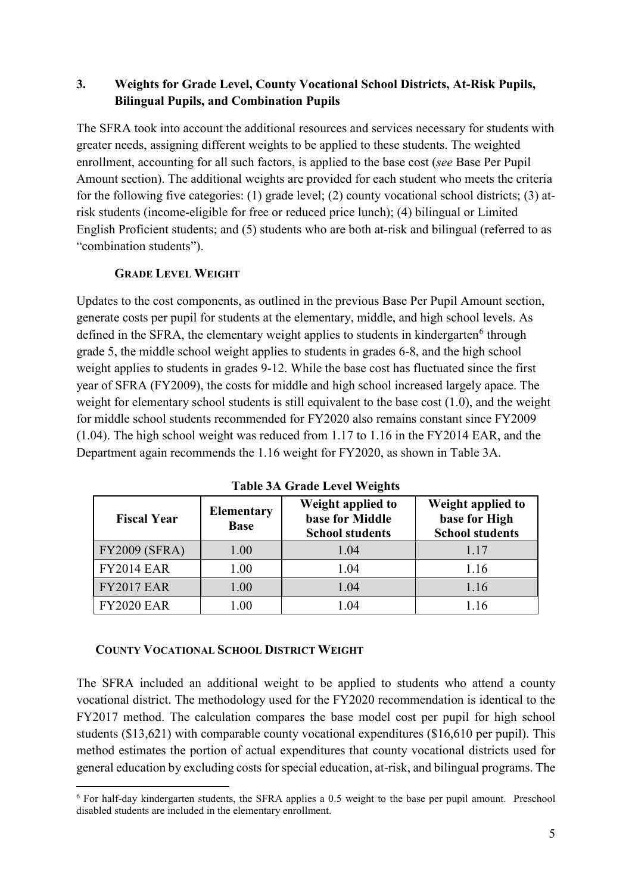## **3. Weights for Grade Level, County Vocational School Districts, At-Risk Pupils, Bilingual Pupils, and Combination Pupils**

The SFRA took into account the additional resources and services necessary for students with greater needs, assigning different weights to be applied to these students. The weighted enrollment, accounting for all such factors, is applied to the base cost (*see* Base Per Pupil Amount section). The additional weights are provided for each student who meets the criteria for the following five categories: (1) grade level; (2) county vocational school districts; (3) atrisk students (income-eligible for free or reduced price lunch); (4) bilingual or Limited English Proficient students; and (5) students who are both at-risk and bilingual (referred to as "combination students").

## **GRADE LEVEL WEIGHT**

Updates to the cost components, as outlined in the previous Base Per Pupil Amount section, generate costs per pupil for students at the elementary, middle, and high school levels. As defined in the SFRA, the elementary weight applies to students in kindergarten $<sup>6</sup>$  $<sup>6</sup>$  $<sup>6</sup>$  through</sup> grade 5, the middle school weight applies to students in grades 6-8, and the high school weight applies to students in grades 9-12. While the base cost has fluctuated since the first year of SFRA (FY2009), the costs for middle and high school increased largely apace. The weight for elementary school students is still equivalent to the base cost (1.0), and the weight for middle school students recommended for FY2020 also remains constant since FY2009 (1.04). The high school weight was reduced from 1.17 to 1.16 in the FY2014 EAR, and the Department again recommends the 1.16 weight for FY2020, as shown in Table 3A.

| <b>Fiscal Year</b>   | <b>Elementary</b><br><b>Base</b> | Weight applied to<br>base for Middle<br><b>School students</b> | Weight applied to<br>base for High<br><b>School students</b> |
|----------------------|----------------------------------|----------------------------------------------------------------|--------------------------------------------------------------|
| <b>FY2009 (SFRA)</b> | 1.00                             | 1.04                                                           | 1.17                                                         |
| <b>FY2014 EAR</b>    | 1.00                             | 1.04                                                           | 1.16                                                         |
| <b>FY2017 EAR</b>    | $1.00\,$                         | 1.04                                                           | 1.16                                                         |
| <b>FY2020 EAR</b>    | 1.00                             | .04                                                            |                                                              |

**Table 3A Grade Level Weights**

## **COUNTY VOCATIONAL SCHOOL DISTRICT WEIGHT**

 $\overline{a}$ 

The SFRA included an additional weight to be applied to students who attend a county vocational district. The methodology used for the FY2020 recommendation is identical to the FY2017 method. The calculation compares the base model cost per pupil for high school students (\$13,621) with comparable county vocational expenditures (\$16,610 per pupil). This method estimates the portion of actual expenditures that county vocational districts used for general education by excluding costs for special education, at-risk, and bilingual programs. The

<span id="page-4-0"></span><sup>6</sup> For half-day kindergarten students, the SFRA applies a 0.5 weight to the base per pupil amount. Preschool disabled students are included in the elementary enrollment.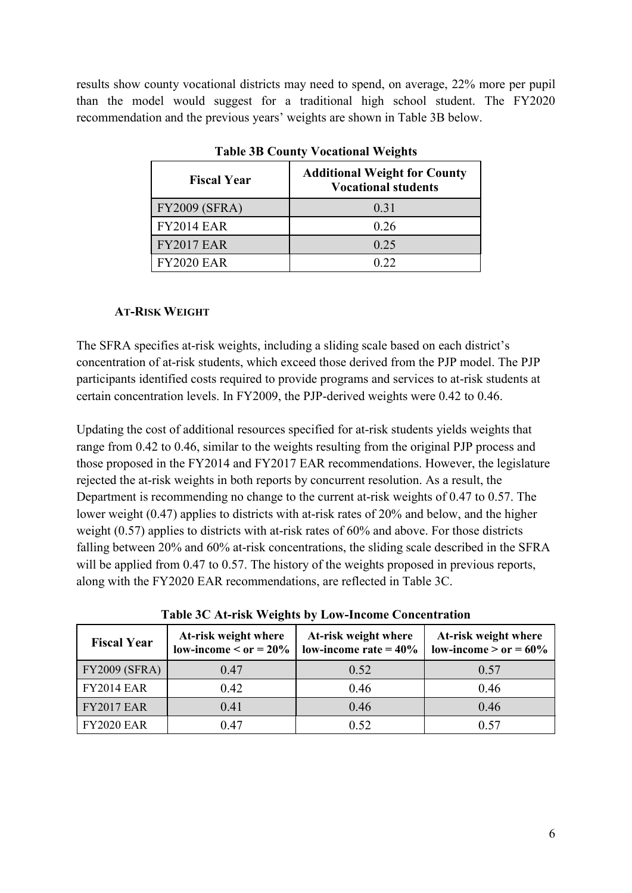results show county vocational districts may need to spend, on average, 22% more per pupil than the model would suggest for a traditional high school student. The FY2020 recommendation and the previous years' weights are shown in Table 3B below.

|                      | $\overline{\phantom{a}}$                                          |
|----------------------|-------------------------------------------------------------------|
| <b>Fiscal Year</b>   | <b>Additional Weight for County</b><br><b>Vocational students</b> |
| <b>FY2009 (SFRA)</b> | 0.31                                                              |
| <b>FY2014 EAR</b>    | 0.26                                                              |
| <b>FY2017 EAR</b>    | 0.25                                                              |
| <b>FY2020 EAR</b>    | ገ ንን                                                              |

**Table 3B County Vocational Weights**

### **AT-RISK WEIGHT**

The SFRA specifies at-risk weights, including a sliding scale based on each district's concentration of at-risk students, which exceed those derived from the PJP model. The PJP participants identified costs required to provide programs and services to at-risk students at certain concentration levels. In FY2009, the PJP-derived weights were 0.42 to 0.46.

Updating the cost of additional resources specified for at-risk students yields weights that range from 0.42 to 0.46, similar to the weights resulting from the original PJP process and those proposed in the FY2014 and FY2017 EAR recommendations. However, the legislature rejected the at-risk weights in both reports by concurrent resolution. As a result, the Department is recommending no change to the current at-risk weights of 0.47 to 0.57. The lower weight (0.47) applies to districts with at-risk rates of 20% and below, and the higher weight (0.57) applies to districts with at-risk rates of 60% and above. For those districts falling between 20% and 60% at-risk concentrations, the sliding scale described in the SFRA will be applied from 0.47 to 0.57. The history of the weights proposed in previous reports, along with the FY2020 EAR recommendations, are reflected in Table 3C.

| <b>Fiscal Year</b>   | At-risk weight where<br>$low\text{-}income < or = 20\%$ | At-risk weight where<br>low-income rate $= 40\%$ | At-risk weight where<br>$low\text{-}income > or = 60\%$ |
|----------------------|---------------------------------------------------------|--------------------------------------------------|---------------------------------------------------------|
| <b>FY2009 (SFRA)</b> | 0.47                                                    | 0.52                                             | 0.57                                                    |
| <b>FY2014 EAR</b>    | 0.42                                                    | 0.46                                             | 0.46                                                    |
| <b>FY2017 EAR</b>    | 0.41                                                    | 0.46                                             | 0.46                                                    |
| <b>FY2020 EAR</b>    | 0.47                                                    | 0.52                                             | 0 57                                                    |

**Table 3C At-risk Weights by Low-Income Concentration**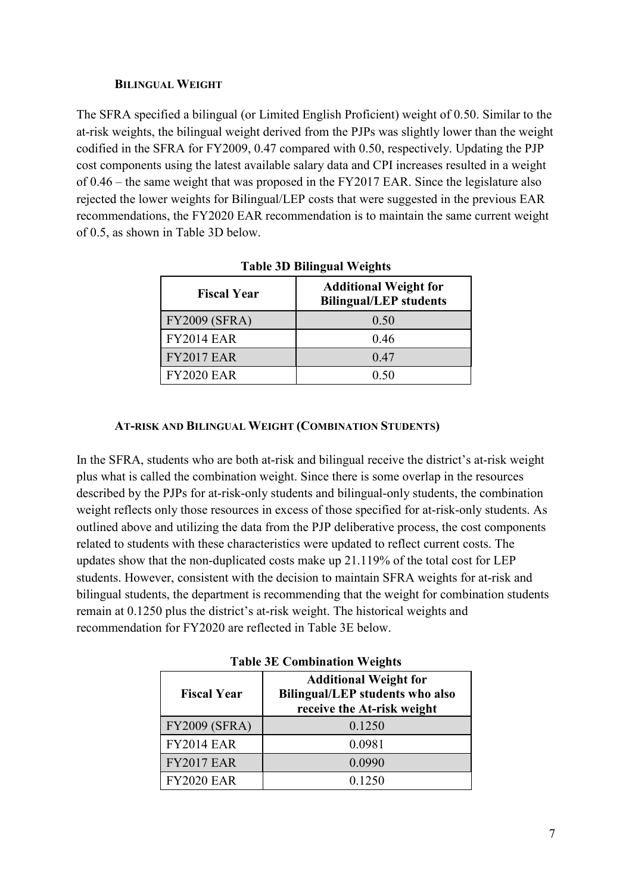#### **BILINGUAL WEIGHT**

The SFRA specified a bilingual (or Limited English Proficient) weight of 0.50. Similar to the at-risk weights, the bilingual weight derived from the PJPs was slightly lower than the weight codified in the SFRA for FY2009, 0.47 compared with 0.50, respectively. Updating the PJP cost components using the latest available salary data and CPI increases resulted in a weight of 0.46 – the same weight that was proposed in the FY2017 EAR. Since the legislature also rejected the lower weights for Bilingual/LEP costs that were suggested in the previous EAR recommendations, the FY2020 EAR recommendation is to maintain the same current weight of 0.5, as shown in Table 3D below.

| <b>Fiscal Year</b>   | <b>Additional Weight for</b><br><b>Bilingual/LEP</b> students |
|----------------------|---------------------------------------------------------------|
| <b>FY2009 (SFRA)</b> | 0.50                                                          |
| <b>FY2014 EAR</b>    | 0.46                                                          |
| <b>FY2017 EAR</b>    | 0.47                                                          |
| <b>FY2020 EAR</b>    | 0.50                                                          |

|  | <b>Table 3D Bilingual Weights</b> |  |
|--|-----------------------------------|--|
|  |                                   |  |

### **AT-RISK AND BILINGUAL WEIGHT (COMBINATION STUDENTS)**

In the SFRA, students who are both at-risk and bilingual receive the district's at-risk weight plus what is called the combination weight. Since there is some overlap in the resources described by the PJPs for at-risk-only students and bilingual-only students, the combination weight reflects only those resources in excess of those specified for at-risk-only students. As outlined above and utilizing the data from the PJP deliberative process, the cost components related to students with these characteristics were updated to reflect current costs. The updates show that the non-duplicated costs make up 21.119% of the total cost for LEP students. However, consistent with the decision to maintain SFRA weights for at-risk and bilingual students, the department is recommending that the weight for combination students remain at 0.1250 plus the district's at-risk weight. The historical weights and recommendation for FY2020 are reflected in Table 3E below.

|                      | Twore on Companion Weights                                                                           |  |  |
|----------------------|------------------------------------------------------------------------------------------------------|--|--|
| <b>Fiscal Year</b>   | <b>Additional Weight for</b><br><b>Bilingual/LEP</b> students who also<br>receive the At-risk weight |  |  |
| <b>FY2009 (SFRA)</b> | 0.1250                                                                                               |  |  |
| <b>FY2014 EAR</b>    | 0.0981                                                                                               |  |  |
| <b>FY2017 EAR</b>    | 0.0990                                                                                               |  |  |
| <b>FY2020 EAR</b>    | 0.1250                                                                                               |  |  |

**Table 3E Combination Weights**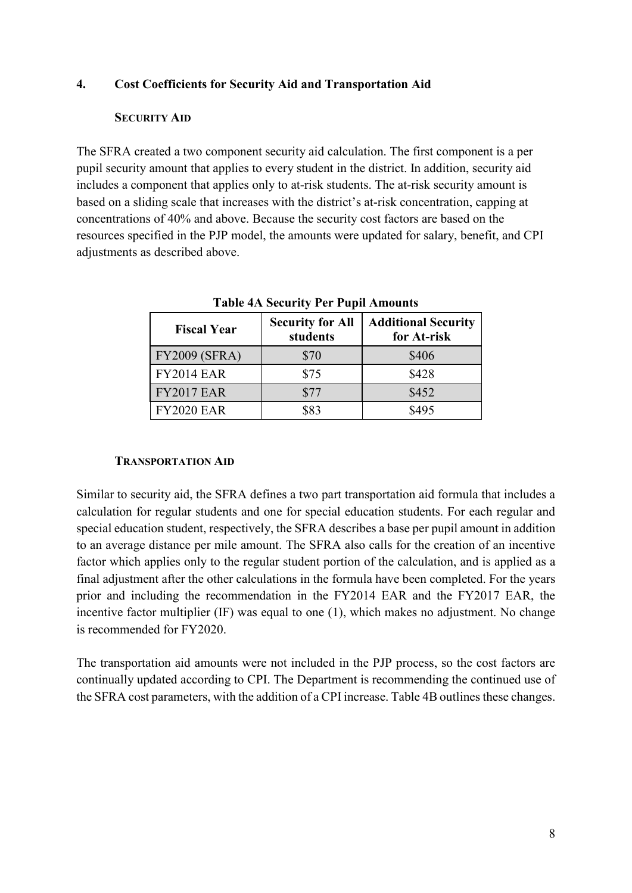#### **4. Cost Coefficients for Security Aid and Transportation Aid**

#### **SECURITY AID**

The SFRA created a two component security aid calculation. The first component is a per pupil security amount that applies to every student in the district. In addition, security aid includes a component that applies only to at-risk students. The at-risk security amount is based on a sliding scale that increases with the district's at-risk concentration, capping at concentrations of 40% and above. Because the security cost factors are based on the resources specified in the PJP model, the amounts were updated for salary, benefit, and CPI adjustments as described above.

| <b>Fiscal Year</b>   | <b>Security for All</b><br>students | <b>Additional Security</b><br>for At-risk |
|----------------------|-------------------------------------|-------------------------------------------|
| <b>FY2009 (SFRA)</b> | \$70                                | \$406                                     |
| <b>FY2014 EAR</b>    | \$75                                | \$428                                     |
| <b>FY2017 EAR</b>    | \$77                                | \$452                                     |
| <b>FY2020 EAR</b>    | \$83                                | \$495                                     |

**Table 4A Security Per Pupil Amounts**

#### **TRANSPORTATION AID**

Similar to security aid, the SFRA defines a two part transportation aid formula that includes a calculation for regular students and one for special education students. For each regular and special education student, respectively, the SFRA describes a base per pupil amount in addition to an average distance per mile amount. The SFRA also calls for the creation of an incentive factor which applies only to the regular student portion of the calculation, and is applied as a final adjustment after the other calculations in the formula have been completed. For the years prior and including the recommendation in the FY2014 EAR and the FY2017 EAR, the incentive factor multiplier (IF) was equal to one (1), which makes no adjustment. No change is recommended for FY2020.

The transportation aid amounts were not included in the PJP process, so the cost factors are continually updated according to CPI. The Department is recommending the continued use of the SFRA cost parameters, with the addition of a CPI increase. Table 4B outlines these changes.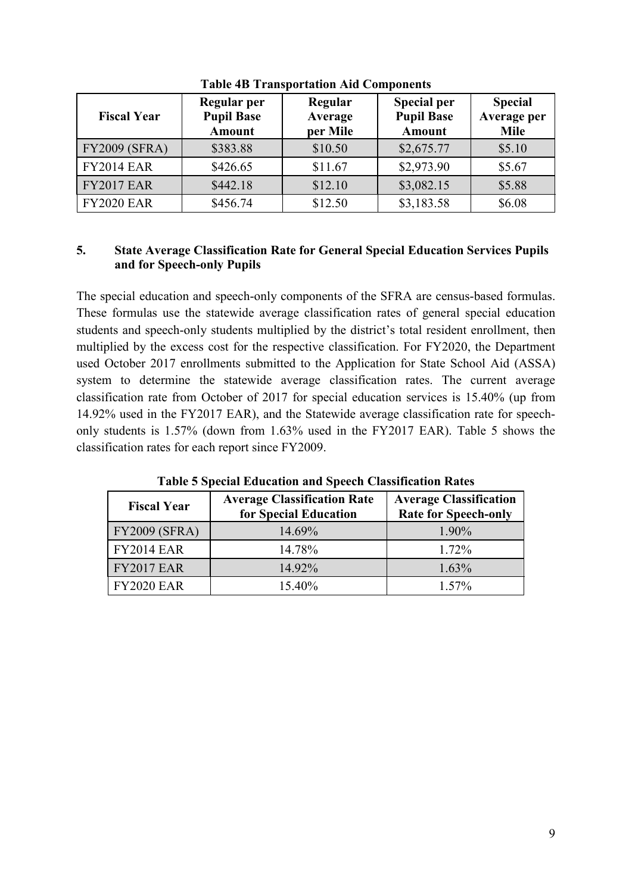| <b>Fiscal Year</b>   | Regular per<br><b>Pupil Base</b><br><b>Amount</b> | Regular<br>Average<br>per Mile | <b>Special per</b><br><b>Pupil Base</b><br><b>Amount</b> | <b>Special</b><br>Average per<br><b>Mile</b> |
|----------------------|---------------------------------------------------|--------------------------------|----------------------------------------------------------|----------------------------------------------|
| <b>FY2009 (SFRA)</b> | \$383.88                                          | \$10.50                        | \$2,675.77                                               | \$5.10                                       |
| <b>FY2014 EAR</b>    | \$426.65                                          | \$11.67                        | \$2,973.90                                               | \$5.67                                       |
| <b>FY2017 EAR</b>    | \$442.18                                          | \$12.10                        | \$3,082.15                                               | \$5.88                                       |
| <b>FY2020 EAR</b>    | \$456.74                                          | \$12.50                        | \$3,183.58                                               | \$6.08                                       |

**Table 4B Transportation Aid Components**

### **5. State Average Classification Rate for General Special Education Services Pupils and for Speech-only Pupils**

The special education and speech-only components of the SFRA are census-based formulas. These formulas use the statewide average classification rates of general special education students and speech-only students multiplied by the district's total resident enrollment, then multiplied by the excess cost for the respective classification. For FY2020, the Department used October 2017 enrollments submitted to the Application for State School Aid (ASSA) system to determine the statewide average classification rates. The current average classification rate from October of 2017 for special education services is 15.40% (up from 14.92% used in the FY2017 EAR), and the Statewide average classification rate for speechonly students is 1.57% (down from 1.63% used in the FY2017 EAR). Table 5 shows the classification rates for each report since FY2009.

| <b>Fiscal Year</b>   | <b>Average Classification Rate</b><br>for Special Education | <b>Average Classification</b><br><b>Rate for Speech-only</b> |
|----------------------|-------------------------------------------------------------|--------------------------------------------------------------|
| <b>FY2009 (SFRA)</b> | 14.69%                                                      | 1.90%                                                        |
| <b>FY2014 EAR</b>    | 14.78%                                                      | 1.72%                                                        |
| <b>FY2017 EAR</b>    | 14.92%                                                      | 1.63%                                                        |
| <b>FY2020 EAR</b>    | 15.40%                                                      | $1.57\%$                                                     |

**Table 5 Special Education and Speech Classification Rates**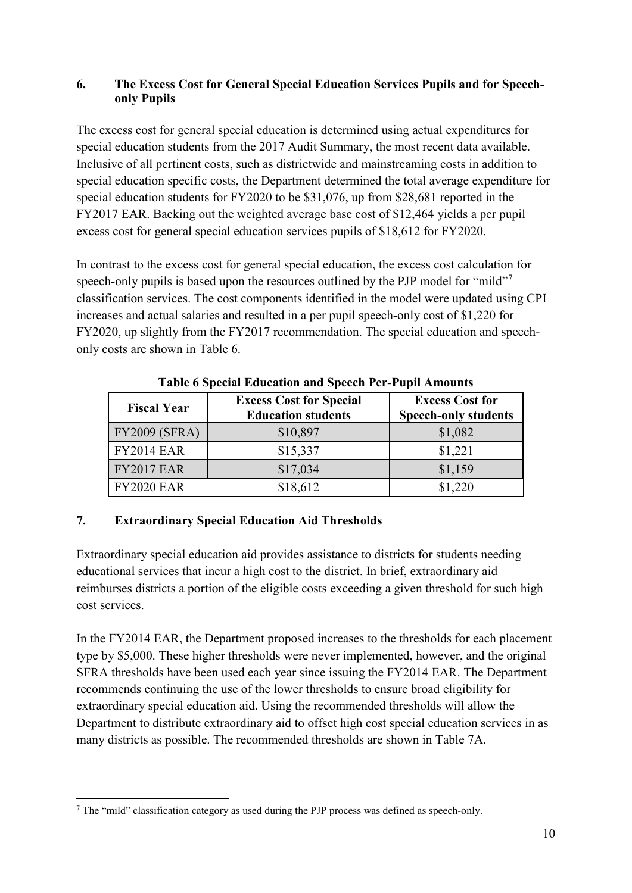## **6. The Excess Cost for General Special Education Services Pupils and for Speechonly Pupils**

The excess cost for general special education is determined using actual expenditures for special education students from the 2017 Audit Summary, the most recent data available. Inclusive of all pertinent costs, such as districtwide and mainstreaming costs in addition to special education specific costs, the Department determined the total average expenditure for special education students for FY2020 to be \$31,076, up from \$28,681 reported in the FY2017 EAR. Backing out the weighted average base cost of \$12,464 yields a per pupil excess cost for general special education services pupils of \$18,612 for FY2020.

In contrast to the excess cost for general special education, the excess cost calculation for speech-only pupils is based upon the resources outlined by the PJP model for "mild"<sup>[7](#page-9-0)</sup> classification services. The cost components identified in the model were updated using CPI increases and actual salaries and resulted in a per pupil speech-only cost of \$1,220 for FY2020, up slightly from the FY2017 recommendation. The special education and speechonly costs are shown in Table 6.

| <b>Fiscal Year</b>   | <b>Excess Cost for Special</b><br><b>Education students</b> | <b>Excess Cost for</b><br><b>Speech-only students</b> |
|----------------------|-------------------------------------------------------------|-------------------------------------------------------|
| <b>FY2009 (SFRA)</b> | \$10,897                                                    | \$1,082                                               |
| <b>FY2014 EAR</b>    | \$15,337                                                    | \$1,221                                               |
| <b>FY2017 EAR</b>    | \$17,034                                                    | \$1,159                                               |
| <b>FY2020 EAR</b>    | \$18,612                                                    | \$1,220                                               |

**Table 6 Special Education and Speech Per-Pupil Amounts**

# **7. Extraordinary Special Education Aid Thresholds**

Extraordinary special education aid provides assistance to districts for students needing educational services that incur a high cost to the district. In brief, extraordinary aid reimburses districts a portion of the eligible costs exceeding a given threshold for such high cost services.

In the FY2014 EAR, the Department proposed increases to the thresholds for each placement type by \$5,000. These higher thresholds were never implemented, however, and the original SFRA thresholds have been used each year since issuing the FY2014 EAR. The Department recommends continuing the use of the lower thresholds to ensure broad eligibility for extraordinary special education aid. Using the recommended thresholds will allow the Department to distribute extraordinary aid to offset high cost special education services in as many districts as possible. The recommended thresholds are shown in Table 7A.

<span id="page-9-0"></span> $\overline{a}$  $7$  The "mild" classification category as used during the PJP process was defined as speech-only.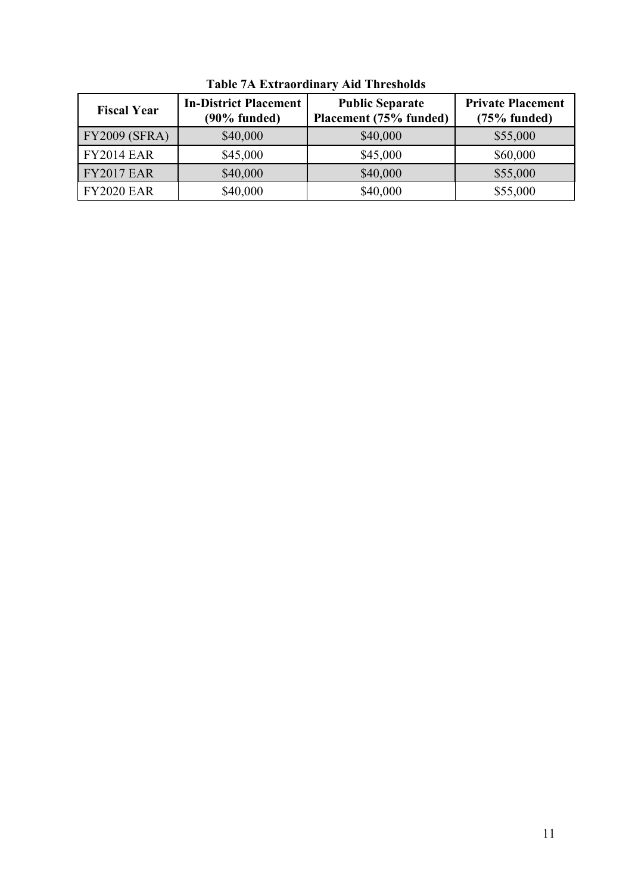| <b>Fiscal Year</b>   | <b>In-District Placement</b><br>$(90\%$ funded) | <b>Public Separate</b><br>Placement (75% funded) | <b>Private Placement</b><br>$(75%$ funded) |
|----------------------|-------------------------------------------------|--------------------------------------------------|--------------------------------------------|
| <b>FY2009 (SFRA)</b> | \$40,000                                        | \$40,000                                         | \$55,000                                   |
| <b>FY2014 EAR</b>    | \$45,000                                        | \$45,000                                         | \$60,000                                   |
| <b>FY2017 EAR</b>    | \$40,000                                        | \$40,000                                         | \$55,000                                   |
| <b>FY2020 EAR</b>    | \$40,000                                        | \$40,000                                         | \$55,000                                   |

**Table 7A Extraordinary Aid Thresholds**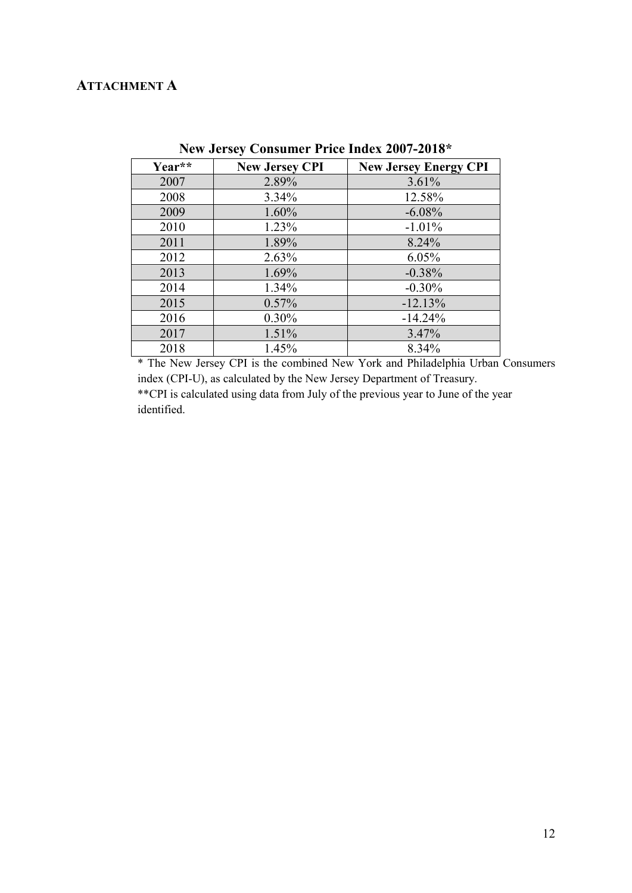# **ATTACHMENT A**

| Year** | <b>New Jersey CPI</b> | <b>New Jersey Energy CPI</b> |
|--------|-----------------------|------------------------------|
| 2007   | 2.89%                 | 3.61%                        |
| 2008   | 3.34%                 | 12.58%                       |
| 2009   | 1.60%                 | $-6.08%$                     |
| 2010   | 1.23%                 | $-1.01%$                     |
| 2011   | 1.89%                 | 8.24%                        |
| 2012   | 2.63%                 | 6.05%                        |
| 2013   | $1.69\%$              | $-0.38%$                     |
| 2014   | 1.34%                 | $-0.30%$                     |
| 2015   | 0.57%                 | $-12.13%$                    |
| 2016   | 0.30%                 | $-14.24%$                    |
| 2017   | 1.51%                 | 3.47%                        |
| 2018   | 1.45%                 | 8.34%                        |

**New Jersey Consumer Price Index 2007-2018\***

\* The New Jersey CPI is the combined New York and Philadelphia Urban Consumers index (CPI-U), as calculated by the New Jersey Department of Treasury. \*\*CPI is calculated using data from July of the previous year to June of the year

identified.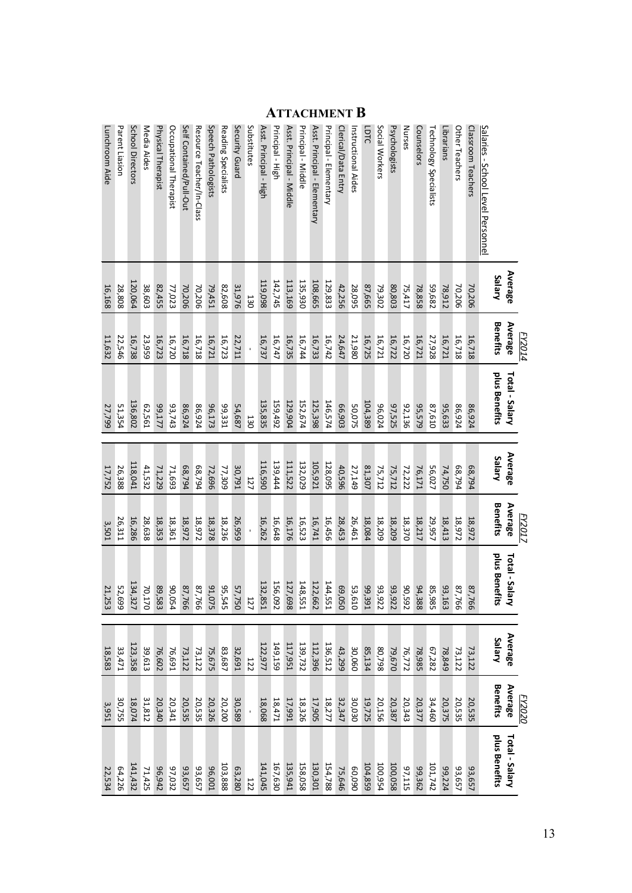|                                           |               | <i>FY2014</i>   |                |         | <b>FY2017</b>   |                         |               | <b>FY2020</b>   |                |
|-------------------------------------------|---------------|-----------------|----------------|---------|-----------------|-------------------------|---------------|-----------------|----------------|
|                                           | Average       | Average         | Total - Salary | Average | Average         | Total - Salary          | Average       | Average         | Total - Salary |
|                                           | <b>Salary</b> | <b>Benefits</b> | plus Benefits  | Salary  | <b>Benefits</b> | plus Benefits           | <b>Salary</b> | <b>Benefits</b> | plus Benefits  |
| <u> Salaries - School Level Personnel</u> |               |                 |                |         |                 |                         |               |                 |                |
| Classroom Teachers                        | 70,206        | 16,718          | 86,924         | 68,794  | 18,972          | 87,<br>-766             | 73,122        | 20,535          | 93,657         |
| Other Teachers                            | 70,206        | 16,718          | 86,924         | 68,794  | 18,972          | 87,<br>997              | 73,122        | 20,535          | 93,657         |
| Librarians                                | 78,912        | 16,721          | 95,633         | 74,750  | 18,413          | 93,<br>501              | 78,849        | 20,375          | 99,224         |
| Technology Specialists                    | 59,682        | 27,928          | 87,610         | 56,027  | 29,957          | 85<br>,985              | 67,282        | 34,460          | 101,742        |
| Counselors                                | 78,858        | 16,721          | 95,579         | 76,171  | 18,217          | 94,388                  | 78,985        | 20,377          | 29,362         |
| Nurses                                    | 75,417        | 16,720          | 92,136         | 72,222  | 18,370          | 20,592                  | 76,772        | 20,343          | 97,115         |
| Psychologists                             | 80,803        | 16,722          | 97,525         | 75,712  | 18,209          | 93,<br>522              | 79,670        | 20,387          | 100,058        |
| Social Workers                            | 79,302        | 16,721          | 96,024         | 75,712  | 18,209          | 93,<br>,922             | 80,798        | 20,156          | 100,954        |
| <b>LDTC</b>                               | 87,665        | 16,725          | 104,389        | 81,307  | 18,084          | 99,<br>.391             | 85,134        | 19,725          | 104,859        |
| Instructional Aides                       | 28,095        | 21,980          | 50,075         | 27,149  | 26,461          | 53,610                  | 30,060        | 30,030          | 060'09         |
| Clerical/Data Entry                       | 42,256        | 24,647          | 66,903         | 40,596  | 28,453          | 69<br>050'              | 43,299        | 32,347          | 75,646         |
| Principal - Elementary                    | 129,833       | 16,742          | 146,574        | 128,095 | 16,456          | 144,<br><b>LSS,</b>     | 136,512       | 18,277          | 154,788        |
| Asst. Principal - Elementary              | 108,665       | 16,733          | 125,398        | 105,921 | 16,741          | 122,<br>E62             | 112,396       | 17,905          | 130,301        |
| Principal - Middle                        | 135,930       | 16,744          | 152,674        | 132,029 | 16,523          | 148<br>LSS,             | 139,732       | 18,326          | 158,058        |
| Asst. Principal - Middle                  | 113,169       | 16,735          | 129,904        | 111,522 | 16,176          | 127,698                 | 117,951       | 17,991          | 135,941        |
| Principal - High                          | 142,745       | 16,747          | 159,492        | 139,444 | 16,648          | 156,<br><sup>7</sup> 60 | 149,159       | 18,471          | 167,630        |
| Asst. Principal - High                    | 119,098       | 16,737          | 135,835        | 116,590 | 16,262          | 132,<br>551             | 122,977       | 18,068          | 141,045        |
| Substitutes                               | 130           |                 | 130            | 127     |                 | 127                     | 122           |                 | 122            |
| Security Guard                            | 31,976        | 22,711          | 54,687         | 30,791  | 26,959          | 57,<br>.750             | 32,691        | 30,589          | 63,280         |
| Reading Specialists                       | 82,608        | 16,723          | 99,331         | 77,309  | 18,236          | ٩Ď<br>545               | 83,687        | 20,200          | 103,888        |
| Speech Pathologists                       | 79,451        | 16,721          | 96,173         | 72,696  | 18,378          | 91,075                  | 75,675        | 20,326          | 100'96         |
| Resource Teacher/In-Class                 | 70,206        | 16,718          | 86,924         | 68,794  | 18,972          | 87,<br>766              | 73,122        | 20,535          | 93,657         |
| Self Contained/Pull-Out                   | 70,206        | 16,718          | 86,924         | 68,794  | 18,972          | 87,766                  | 73,122        | <b>20,535</b>   | 93,657         |
| Occupational Therapist                    | 77,023        | 16,720          | 93,743         | 71,693  | 18,361          | 90,<br>054              | 76,691        | 20,341          | 97,032         |
| Physical Therapist                        | 82,455        | 16,723          | 1777           | 71,229  | 18,353          | 89<br>583               | 76,602        | 20,340          | 96,942         |
| Media Aides                               | 38,603        | 23,959          | 62,561         | 41,532  | 28,638          | 70,<br>170              | 39,613        | 31,812          | 71,425         |
| School Directors                          | 120,064       | 16,738          | 136,802        | 118,041 | 16,286          | 134,327                 | 123,358       | 18,074          | 141,432        |
| Parent Liasion                            | 28,808        | 22,546          | 51,354         | 26,388  | 26,311          | 52,699                  | 33,471        | 30,755          | 64,226         |
| Lunchroom Aide                            | 16,168        | 11,632          | 27,799         | 17,752  | 3,501           | 21,253                  | 18,583        | 3,951           | 22,534         |

### **ATTACHMENT B**